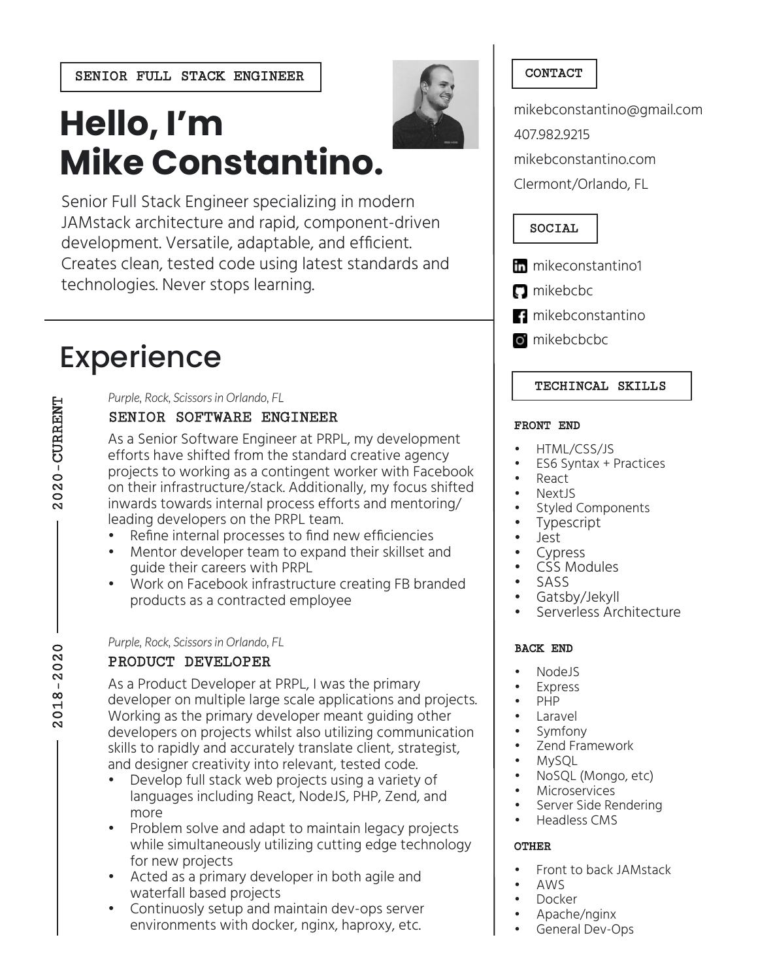SENIOR FULL STACK ENGINEER CONTACT

# **Hello, I'm Mike Constantino.**

Senior Full Stack Engineer specializing in modern JAMstack architecture and rapid, component-driven development. Versatile, adaptable, and efficient. Creates clean, tested code using latest standards and technologies. Never stops learning.

### Experience

### SENIOR SOFTWARE ENGINEER *Purple, Rock, Scissors in Orlando, FL*

As a Senior Software Engineer at PRPL, my development efforts have shifted from the standard creative agency projects to working as a contingent worker with Facebook on their infrastructure/stack. Additionally, my focus shifted inwards towards internal process efforts and mentoring/ leading developers on the PRPL team.

- Refine internal processes to find new efficiencies
- Mentor developer team to expand their skillset and guide their careers with PRPL
- Work on Facebook infrastructure creating FB branded products as a contracted employee

### PRODUCT DEVELOPER *Purple, Rock, Scissors in Orlando, FL*

As a Product Developer at PRPL, I was the primary developer on multiple large scale applications and projects. Working as the primary developer meant guiding other developers on projects whilst also utilizing communication skills to rapidly and accurately translate client, strategist, and designer creativity into relevant, tested code.

- Develop full stack web projects using a variety of languages including React, NodeJS, PHP, Zend, and more
- Problem solve and adapt to maintain legacy projects while simultaneously utilizing cutting edge technology for new projects
- Acted as a primary developer in both agile and waterfall based projects
- Continuosly setup and maintain dev-ops server environments with docker, nginx, haproxy, etc.

mikebconstantino@gmail.com 407.982.9215

mikebconstantino.com

Clermont/Orlando, FL

### SOCIAL

**in** mikeconstantino1

- **n** mikebcbc
- mikebconstantino
- o mikebcbcbc

### TECHINCAL SKILLS

### FRONT END

- HTML/CSS/JS
- ES6 Syntax + Practices
- React
- NextJS
- Styled Components
- **Typescript**
- Jest
- **Cypress**
- CSS Modules
- SASS
- Gatsby/Jekyll
- Serverless Architecture

### BACK END

- NodeJS
- **Express**
- PHP
- **Laravel**
- Symfony
- Zend Framework
- MySQL
- NoSQL (Mongo, etc)
- **Microservices**
- Server Side Rendering
- Headless CMS

### OTHER

- Front to back JAMstack
- AWS
- Docker
- Apache/nginx
- General Dev-Ops

 $2018 - 2020$ 2018-2020